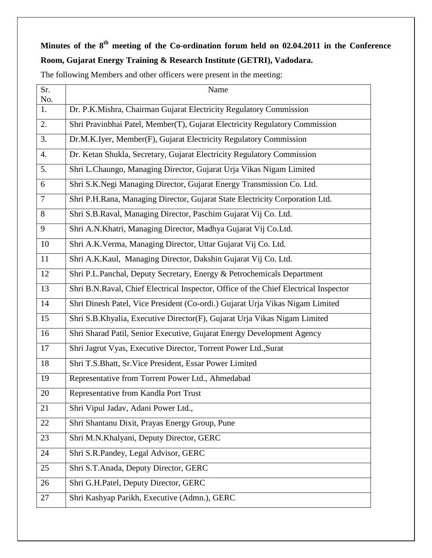# **Minutes of the 8 th meeting of the Co-ordination forum held on 02.04.2011 in the Conference Room, Gujarat Energy Training & Research Institute (GETRI), Vadodara.**

| Sr.<br>No.       | Name                                                                                 |
|------------------|--------------------------------------------------------------------------------------|
| 1.               | Dr. P.K.Mishra, Chairman Gujarat Electricity Regulatory Commission                   |
| 2.               | Shri Pravinbhai Patel, Member(T), Gujarat Electricity Regulatory Commission          |
| 3.               | Dr.M.K.Iyer, Member(F), Gujarat Electricity Regulatory Commission                    |
| $\overline{4}$ . | Dr. Ketan Shukla, Secretary, Gujarat Electricity Regulatory Commission               |
| 5.               | Shri L.Chaungo, Managing Director, Gujarat Urja Vikas Nigam Limited                  |
| 6                | Shri S.K.Negi Managing Director, Gujarat Energy Transmission Co. Ltd.                |
| $\overline{7}$   | Shri P.H.Rana, Managing Director, Gujarat State Electricity Corporation Ltd.         |
| $\overline{8}$   | Shri S.B.Raval, Managing Director, Paschim Gujarat Vij Co. Ltd.                      |
| 9                | Shri A.N.Khatri, Managing Director, Madhya Gujarat Vij Co.Ltd.                       |
| 10               | Shri A.K.Verma, Managing Director, Uttar Gujarat Vij Co. Ltd.                        |
| 11               | Shri A.K.Kaul, Managing Director, Dakshin Gujarat Vij Co. Ltd.                       |
| 12               | Shri P.L.Panchal, Deputy Secretary, Energy & Petrochemicals Department               |
| 13               | Shri B.N.Raval, Chief Electrical Inspector, Office of the Chief Electrical Inspector |
| 14               | Shri Dinesh Patel, Vice President (Co-ordi.) Gujarat Urja Vikas Nigam Limited        |
| 15               | Shri S.B.Khyalia, Executive Director(F), Gujarat Urja Vikas Nigam Limited            |
| 16               | Shri Sharad Patil, Senior Executive, Gujarat Energy Development Agency               |
| 17               | Shri Jagrut Vyas, Executive Director, Torrent Power Ltd., Surat                      |
| 18               | Shri T.S.Bhatt, Sr.Vice President, Essar Power Limited                               |
| 19               | Representative from Torrent Power Ltd., Ahmedabad                                    |
| 20               | Representative from Kandla Port Trust                                                |
| 21               | Shri Vipul Jadav, Adani Power Ltd.,                                                  |
| 22               | Shri Shantanu Dixit, Prayas Energy Group, Pune                                       |
| 23               | Shri M.N.Khalyani, Deputy Director, GERC                                             |
| 24               | Shri S.R.Pandey, Legal Advisor, GERC                                                 |
| 25               | Shri S.T.Anada, Deputy Director, GERC                                                |
| 26               | Shri G.H.Patel, Deputy Director, GERC                                                |
| 27               | Shri Kashyap Parikh, Executive (Admn.), GERC                                         |

The following Members and other officers were present in the meeting: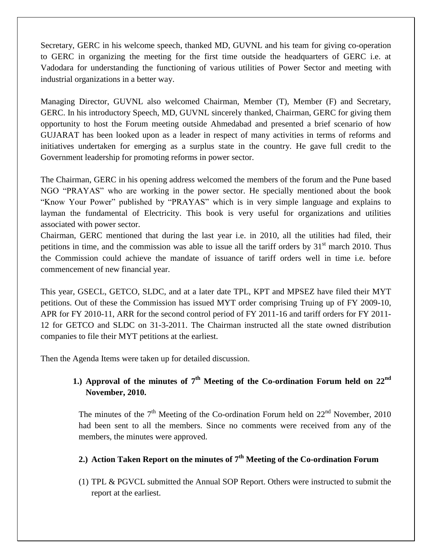Secretary, GERC in his welcome speech, thanked MD, GUVNL and his team for giving co-operation to GERC in organizing the meeting for the first time outside the headquarters of GERC i.e. at Vadodara for understanding the functioning of various utilities of Power Sector and meeting with industrial organizations in a better way.

Managing Director, GUVNL also welcomed Chairman, Member (T), Member (F) and Secretary, GERC. In his introductory Speech, MD, GUVNL sincerely thanked, Chairman, GERC for giving them opportunity to host the Forum meeting outside Ahmedabad and presented a brief scenario of how GUJARAT has been looked upon as a leader in respect of many activities in terms of reforms and initiatives undertaken for emerging as a surplus state in the country. He gave full credit to the Government leadership for promoting reforms in power sector.

The Chairman, GERC in his opening address welcomed the members of the forum and the Pune based NGO "PRAYAS" who are working in the power sector. He specially mentioned about the book "Know Your Power" published by "PRAYAS" which is in very simple language and explains to layman the fundamental of Electricity. This book is very useful for organizations and utilities associated with power sector.

Chairman, GERC mentioned that during the last year i.e. in 2010, all the utilities had filed, their petitions in time, and the commission was able to issue all the tariff orders by  $31<sup>st</sup>$  march 2010. Thus the Commission could achieve the mandate of issuance of tariff orders well in time i.e. before commencement of new financial year.

This year, GSECL, GETCO, SLDC, and at a later date TPL, KPT and MPSEZ have filed their MYT petitions. Out of these the Commission has issued MYT order comprising Truing up of FY 2009-10, APR for FY 2010-11, ARR for the second control period of FY 2011-16 and tariff orders for FY 2011- 12 for GETCO and SLDC on 31-3-2011. The Chairman instructed all the state owned distribution companies to file their MYT petitions at the earliest.

Then the Agenda Items were taken up for detailed discussion.

## **1.) Approval of the minutes of 7 th Meeting of the Co-ordination Forum held on 22nd November, 2010.**

The minutes of the  $7<sup>th</sup>$  Meeting of the Co-ordination Forum held on  $22<sup>nd</sup>$  November, 2010 had been sent to all the members. Since no comments were received from any of the members, the minutes were approved.

# **2.) Action Taken Report on the minutes of 7th Meeting of the Co-ordination Forum**

(1) TPL & PGVCL submitted the Annual SOP Report. Others were instructed to submit the report at the earliest.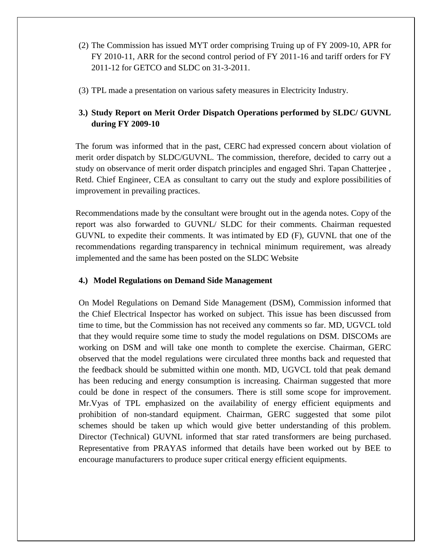- (2) The Commission has issued MYT order comprising Truing up of FY 2009-10, APR for FY 2010-11, ARR for the second control period of FY 2011-16 and tariff orders for FY 2011-12 for GETCO and SLDC on 31-3-2011.
- (3) TPL made a presentation on various safety measures in Electricity Industry.

## **3.) Study Report on Merit Order Dispatch Operations performed by SLDC/ GUVNL during FY 2009-10**

The forum was informed that in the past, CERC had expressed concern about violation of merit order dispatch by SLDC/GUVNL. The commission, therefore, decided to carry out a study on observance of merit order dispatch principles and engaged Shri. Tapan Chatterjee , Retd. Chief Engineer, CEA as consultant to carry out the study and explore possibilities of improvement in prevailing practices.

Recommendations made by the consultant were brought out in the agenda notes. Copy of the report was also forwarded to GUVNL/ SLDC for their comments. Chairman requested GUVNL to expedite their comments. It was intimated by ED (F), GUVNL that one of the recommendations regarding transparency in technical minimum requirement, was already implemented and the same has been posted on the SLDC Website

#### **4.) Model Regulations on Demand Side Management**

On Model Regulations on Demand Side Management (DSM), Commission informed that the Chief Electrical Inspector has worked on subject. This issue has been discussed from time to time, but the Commission has not received any comments so far. MD, UGVCL told that they would require some time to study the model regulations on DSM. DISCOMs are working on DSM and will take one month to complete the exercise. Chairman, GERC observed that the model regulations were circulated three months back and requested that the feedback should be submitted within one month. MD, UGVCL told that peak demand has been reducing and energy consumption is increasing. Chairman suggested that more could be done in respect of the consumers. There is still some scope for improvement. Mr.Vyas of TPL emphasized on the availability of energy efficient equipments and prohibition of non-standard equipment. Chairman, GERC suggested that some pilot schemes should be taken up which would give better understanding of this problem. Director (Technical) GUVNL informed that star rated transformers are being purchased. Representative from PRAYAS informed that details have been worked out by BEE to encourage manufacturers to produce super critical energy efficient equipments.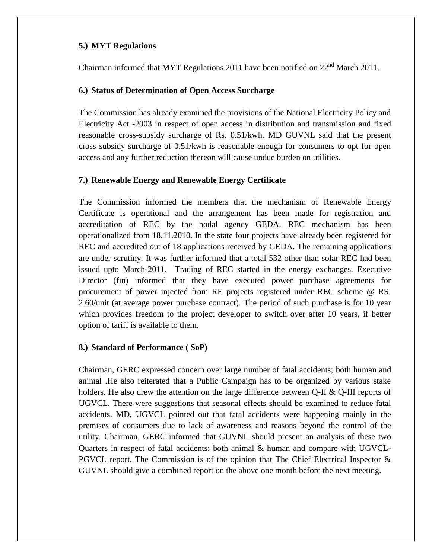## **5.) MYT Regulations**

Chairman informed that MYT Regulations 2011 have been notified on  $22<sup>nd</sup>$  March 2011.

## **6.) Status of Determination of Open Access Surcharge**

The Commission has already examined the provisions of the National Electricity Policy and Electricity Act -2003 in respect of open access in distribution and transmission and fixed reasonable cross-subsidy surcharge of Rs. 0.51/kwh. MD GUVNL said that the present cross subsidy surcharge of 0.51/kwh is reasonable enough for consumers to opt for open access and any further reduction thereon will cause undue burden on utilities.

## **7.) Renewable Energy and Renewable Energy Certificate**

The Commission informed the members that the mechanism of Renewable Energy Certificate is operational and the arrangement has been made for registration and accreditation of REC by the nodal agency GEDA. REC mechanism has been operationalized from 18.11.2010. In the state four projects have already been registered for REC and accredited out of 18 applications received by GEDA. The remaining applications are under scrutiny. It was further informed that a total 532 other than solar REC had been issued upto March-2011. Trading of REC started in the energy exchanges. Executive Director (fin) informed that they have executed power purchase agreements for procurement of power injected from RE projects registered under REC scheme @ RS. 2.60/unit (at average power purchase contract). The period of such purchase is for 10 year which provides freedom to the project developer to switch over after 10 years, if better option of tariff is available to them.

## **8.) Standard of Performance ( SoP)**

Chairman, GERC expressed concern over large number of fatal accidents; both human and animal .He also reiterated that a Public Campaign has to be organized by various stake holders. He also drew the attention on the large difference between Q-II & Q-III reports of UGVCL. There were suggestions that seasonal effects should be examined to reduce fatal accidents. MD, UGVCL pointed out that fatal accidents were happening mainly in the premises of consumers due to lack of awareness and reasons beyond the control of the utility. Chairman, GERC informed that GUVNL should present an analysis of these two Quarters in respect of fatal accidents; both animal & human and compare with UGVCL-PGVCL report. The Commission is of the opinion that The Chief Electrical Inspector  $\&$ GUVNL should give a combined report on the above one month before the next meeting.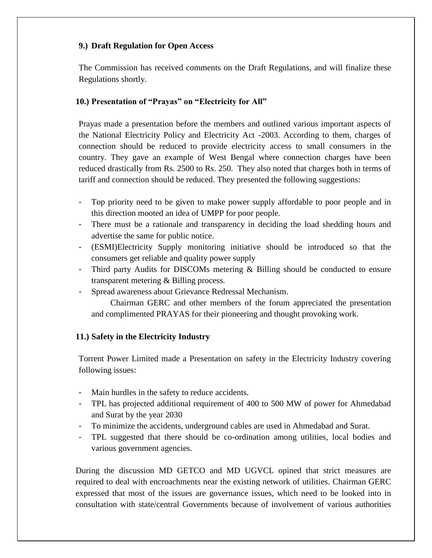## **9.) Draft Regulation for Open Access**

The Commission has received comments on the Draft Regulations, and will finalize these Regulations shortly.

## **10.) Presentation of "Prayas" on "Electricity for All"**

Prayas made a presentation before the members and outlined various important aspects of the National Electricity Policy and Electricity Act -2003. According to them, charges of connection should be reduced to provide electricity access to small consumers in the country. They gave an example of West Bengal where connection charges have been reduced drastically from Rs. 2500 to Rs. 250. They also noted that charges both in terms of tariff and connection should be reduced. They presented the following suggestions:

- Top priority need to be given to make power supply affordable to poor people and in this direction mooted an idea of UMPP for poor people.
- There must be a rationale and transparency in deciding the load shedding hours and advertise the same for public notice.
- (ESMI)Electricity Supply monitoring initiative should be introduced so that the consumers get reliable and quality power supply
- Third party Audits for DISCOMs metering  $\&$  Billing should be conducted to ensure transparent metering & Billing process.
- Spread awareness about Grievance Redressal Mechanism.

 Chairman GERC and other members of the forum appreciated the presentation and complimented PRAYAS for their pioneering and thought provoking work.

## **11.) Safety in the Electricity Industry**

Torrent Power Limited made a Presentation on safety in the Electricity Industry covering following issues:

- Main hurdles in the safety to reduce accidents.
- TPL has projected additional requirement of 400 to 500 MW of power for Ahmedabad and Surat by the year 2030
- To minimize the accidents, underground cables are used in Ahmedabad and Surat.
- TPL suggested that there should be co-ordination among utilities, local bodies and various government agencies.

During the discussion MD GETCO and MD UGVCL opined that strict measures are required to deal with encroachments near the existing network of utilities. Chairman GERC expressed that most of the issues are governance issues, which need to be looked into in consultation with state/central Governments because of involvement of various authorities